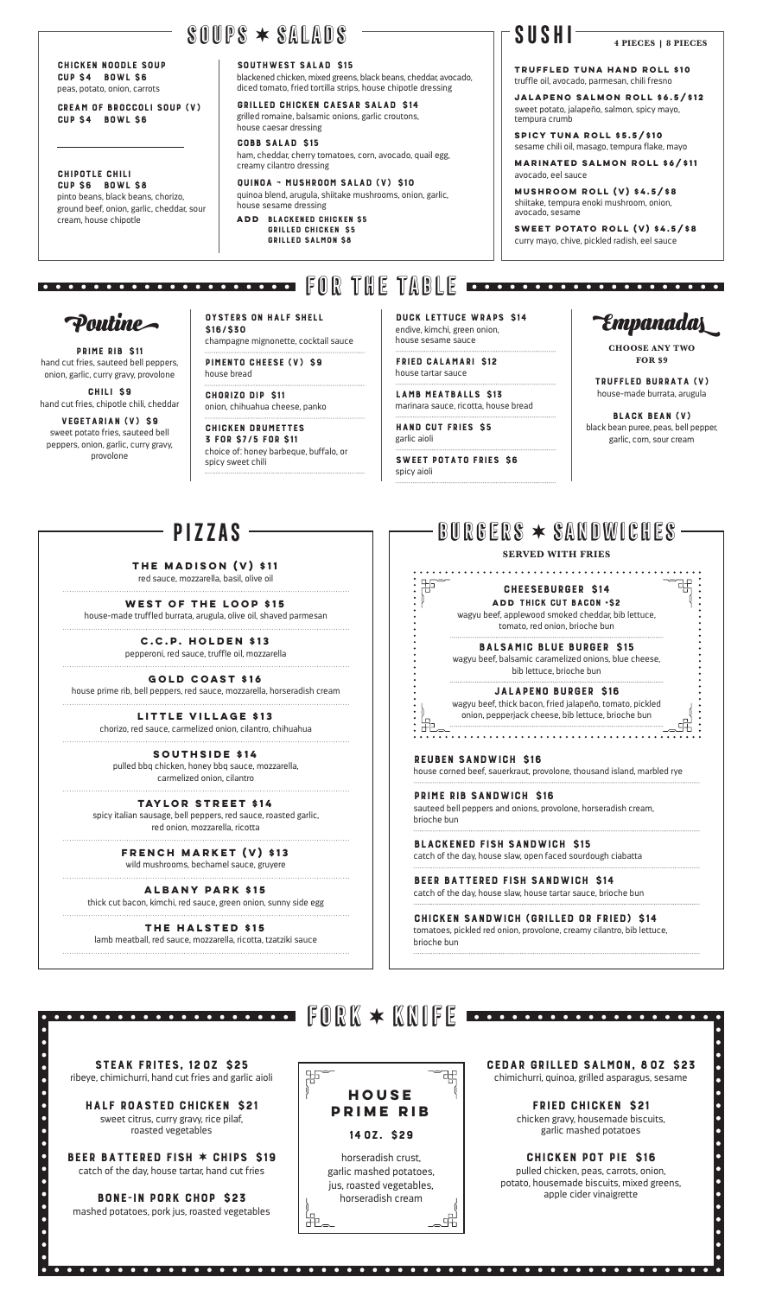# **SUSHI**

# $\texttt{\$00PS} \times \texttt{\$ALADS}$

CHICKEN NOODLE SOUP CUP \$4 BOWL \$6 peas, potato, onion, carrots

CREAM OF BROCCOLI SOUP (V) CUP \$4 BOWL \$6

CHIPOTLE CHILI CUP \$6 BOWL \$8 pinto beans, black beans, chorizo, ground beef, onion, garlic, cheddar, sour cream, house chipotle

SOUTHWEST SALAD \$15

blackened chicken, mixed greens, black beans, cheddar, avocado, diced tomato, fried tortilla strips, house chipotle dressing

GRILLED CHICKEN CAESAR SALAD \$14 grilled romaine, balsamic onions, garlic croutons, house caesar dressing

COBB SALAD \$15

ham, cheddar, cherry tomatoes, corn, avocado, quail egg, creamy cilantro dressing

QUINOA ¬ MUSHROOM SALAD (V) \$10 quinoa blend, arugula, shiitake mushrooms, onion, garlic, house sesame dressing

**ADD** BLACKENED CHICKEN \$5 GRILLED CHICKEN \$5 GRILLED SALMON \$8

#### REUBEN SANDWICH \$16

house corned beef, sauerkraut, provolone, thousand island, marbled rye

PRIME RIB SANDWICH \$16

sauteed bell peppers and onions, provolone, horseradish cream, brioche bun

BLACKENED FISH SANDWICH \$15

catch of the day, house slaw, open faced sourdough ciabatta

BEER BATTERED FISH SANDWICH \$14



距

catch of the day, house slaw, house tartar sauce, brioche bun

#### CHICKEN SANDWICH (GRILLED OR FRIED) \$14

tomatoes, pickled red onion, provolone, creamy cilantro, bib lettuce, brioche bun

#### **THE MADISON (V) \$11**

red sauce, mozzarella, basil, olive oil 

**WEST OF THE LOOP \$15**

house-made truffled burrata, arugula, olive oil, shaved parmesan

**Poutine Empanadas** DUCK LETTUCE WRAPS \$14 endive, kimchi, green onion, house sesame sauce

**C.C.P. HOLDEN \$13**

pepperoni, red sauce, truffle oil, mozzarella 

**GOLD COAST \$16**

house prime rib, bell peppers, red sauce, mozzarella, horseradish cream 

> **LITTLE VILLAGE \$13** chorizo, red sauce, carmelized onion, cilantro, chihuahua

**SOUTHSIDE \$14** pulled bbq chicken, honey bbq sauce, mozzarella, carmelized onion, cilantro

**TAYLOR STREET \$14**

spicy italian sausage, bell peppers, red sauce, roasted garlic, red onion, mozzarella, ricotta

### **FRENCH MARKET (V) \$13**

wild mushrooms, bechamel sauce, gruyere

#### **ALBANY PARK \$15**

thick cut bacon, kimchi, red sauce, green onion, sunny side egg 

#### **THE HALSTED \$15**

lamb meatball, red sauce, mozzarella, ricotta, tzatziki sauce

# **PIZZAS burgers**  $\star$  **Sandwiches** -

#### **SERVED WITH FRIES**

CHEESEBURGER \$14 **ADD** THICK CUT BACON +\$2

wagyu beef, applewood smoked cheddar, bib lettuce, tomato, red onion, brioche bun

BALSAMIC BLUE BURGER \$15 wagyu beef, balsamic caramelized onions, blue cheese,

bib lettuce, brioche bun

#### JALAPENO BURGER \$16

wagyu beef, thick bacon, fried jalapeño, tomato, pickled onion, pepperjack cheese, bib lettuce, brioche bun

OYSTERS ON HALF SHELL \$16/\$30 champagne mignonette, cocktail sauce

PIMENTO CHEESE (V) \$9 house bread

CHORIZO DIP \$11 onion, chihuahua cheese, panko

CHICKEN DRUMETTES 3 FOR \$7/5 FOR \$11 choice of: honey barbeque, buffalo, or

spicy sweet chili

FRIED CALAMARI \$12 house tartar sauce

LAMB MEATBALLS \$13 marinara sauce, ricotta, house bread

HAND CUT FRIES \$5 garlic aioli

SWEET POTATO FRIES \$6 spicy aioli

郜

距

mashed potatoes, pork jus, roasted vegetables

PRIME RIB \$11 hand cut fries, sauteed bell peppers, onion, garlic, curry gravy, provolone CHILI \$9 hand cut fries, chipotle chili, cheddar VEGETARIAN (V) \$9 sweet potato fries, sauteed bell peppers, onion, garlic, curry gravy, provolone

**TRUFFLED TUNA HAND ROLL \$10** truffle oil, avocado, parmesan, chili fresno

**JALAPENO SALMON ROLL \$6.5/\$12** sweet potato, jalapeño, salmon, spicy mayo, tempura crumb

**SPICY TUNA ROLL \$5.5/\$10** sesame chili oil, masago, tempura flake, mayo

**MARINATED SALMON ROLL \$6/\$11** avocado, eel sauce

**MUSHROOM ROLL (V) \$4.5/\$8**  shiitake, tempura enoki mushroom, onion, avocado, sesame

**SWEET POTATO ROLL (V) \$4.5/\$8**  curry mayo, chive, pickled radish, eel sauce

# **FOR THE TABLE ------------------------**

**CHOOSE ANY TWO FOR \$9**

TRUFFLED BURRATA (V) house-made burrata, arugula

BLACK BEAN (V) black bean puree, peas, bell pepper, garlic, corn, sour cream

祒

 $\bullet$ 

**4 PIECES | 8 PIECES**